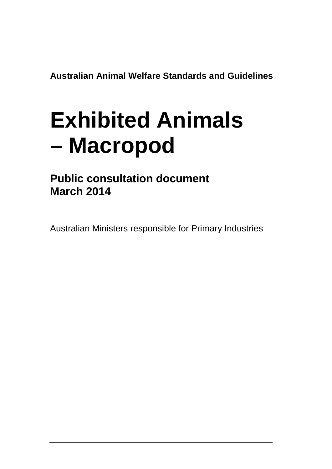**Australian Animal Welfare Standards and Guidelines**

# **Exhibited Animals – Macropod**

**Public consultation document March 2014**

Australian Ministers responsible for Primary Industries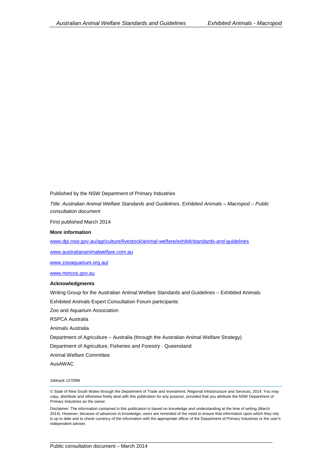Published by the NSW Department of Primary Industries

*Title: Australian Animal Welfare Standards and Guidelines. Exhibited Animals – Macropod – Public consultation document*

First published March 2014

#### **More information**

[www.dpi.nsw.gov.au/agriculture/livestock/animal-welfare/exhibit/standards-and-guidelines](http://www.dpi.nsw.gov.au/agriculture/livestock/animal-welfare/exhibit/standards-and-guidelines) 

[www.australiananimalwelfare.com.au](http://www.australiananimalwelfare.com.au/)

[www.zooaquarium.org.au/](http://www.zooaquarium.org.au/)

[www.mincos.gov.au](http://www.mincos.gov.au/)

#### **Acknowledgments**

Writing Group for the Australian Animal Welfare Standards and Guidelines – Exhibited Animals

Exhibited Animals Expert Consultation Forum participants

Zoo and Aquarium Association

RSPCA Australia

Animals Australia

Department of Agriculture – Australia (through the Australian Animal Welfare Strategy)

Department of Agriculture, Fisheries and Forestry - Queensland

Animal Welfare Committee

AusAWAC

Jobtrack 12709M

© State of New South Wales through the Department of Trade and Investment, Regional Infrastructure and Services, 2014. You may copy, distribute and otherwise freely deal with this publication for any purpose, provided that you attribute the NSW Department of Primary Industries as the owner.

Disclaimer: The information contained in this publication is based on knowledge and understanding at the time of writing (March 2014). However, because of advances in knowledge, users are reminded of the need to ensure that information upon which they rely is up to date and to check currency of the information with the appropriate officer of the Department of Primary Industries or the user's independent adviser.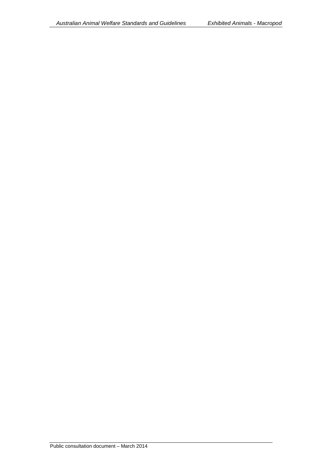Public consultation document – March 2014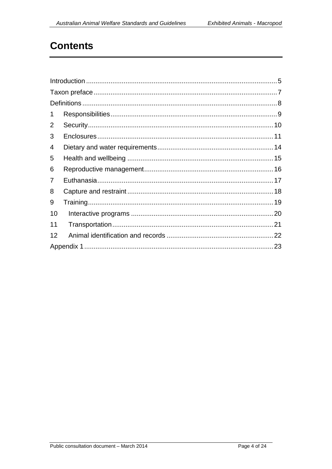# **Contents**

| 1  |  |  |
|----|--|--|
| 2  |  |  |
| 3  |  |  |
| 4  |  |  |
| 5  |  |  |
| 6  |  |  |
| 7  |  |  |
| 8  |  |  |
| 9  |  |  |
| 10 |  |  |
| 11 |  |  |
| 12 |  |  |
|    |  |  |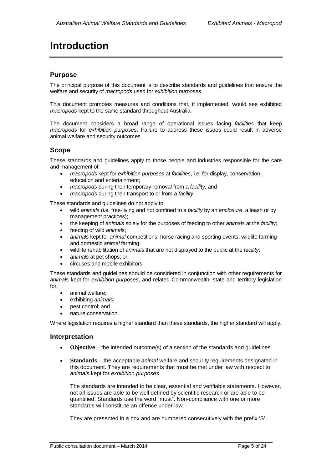# <span id="page-4-0"></span>**Introduction**

### **Purpose**

The principal purpose of this document is to describe standards and guidelines that ensure the welfare and security of *macropods* used for *exhibition purposes*.

This document promotes measures and conditions that, if implemented, would see exhibited *macropods* kept to the same standard throughout Australia.

The document considers a broad range of operational issues facing *facilities* that keep *macropods* for *exhibition purposes*. Failure to address these issues could result in adverse animal welfare and security outcomes.

#### **Scope**

These standards and guidelines apply to those people and industries responsible for the care and management of:

- *macropods* kept for *exhibition purposes* at *facilities*, i.e. for display, conservation, education and entertainment;
- *macropods* during their temporary removal from a *facility;* and
- *macropods* during their transport to or from a *facility*.

These standards and guidelines do not apply to:

- wild *animals* (i.e. free-living and not confined to a *facility* by an *enclosure*, a leash or by management practices);
- the keeping of *animals* solely for the purposes of feeding to other *animals* at the *facility*;
- feeding of wild *animal*s;
- *animals* kept for *animal* competitions, horse racing and sporting events, wildlife farming and domestic *animal* farming;
- wildlife rehabilitation of *animals* that are not displayed to the public at the *facility*;
- *animals* at pet shops; or
- circuses and mobile exhibitors.

These standards and guidelines should be considered in conjunction with other requirements for *animals* kept for *exhibition purposes*, and related Commonwealth, state and territory legislation for:

- animal welfare;
- exhibiting *animals*;
- pest control; and
- nature conservation.

Where legislation requires a higher standard than these standards, the higher standard will apply.

#### **Interpretation**

- **Objective** the intended outcome(s) of a section of the standards and guidelines.
- **Standards** the acceptable *animal* welfare and security requirements designated in this document. They are requirements that must be met under law with respect to *animals* kept for *exhibition purposes*.

The standards are intended to be clear, essential and verifiable statements. However, not all issues are able to be well defined by scientific research or are able to be quantified. Standards use the word "must". Non-compliance with one or more standards will constitute an offence under law.

They are presented in a box and are numbered consecutively with the prefix 'S'.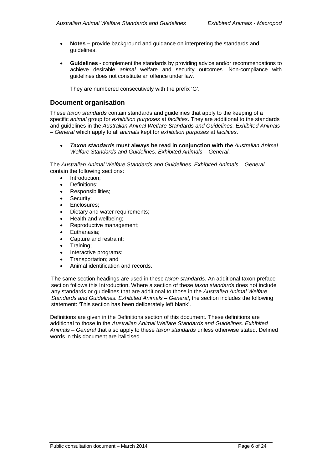- **Notes –** provide background and guidance on interpreting the standards and guidelines.
- **Guidelines** complement the standards by providing advice and/or recommendations to achieve desirable *animal* welfare and security outcomes. Non-compliance with guidelines does not constitute an offence under law.

They are numbered consecutively with the prefix 'G'.

### **Document organisation**

These *taxon standards* contain standards and guidelines that apply to the keeping of a specific *animal* group for *exhibition purposes* at *facilities*. They are additional to the standards and guidelines in the *Australian Animal Welfare Standards and Guidelines. Exhibited Animals – General* which apply to all *animals* kept for *exhibition purposes* at *facilities*.

• *Taxon standards* **must always be read in conjunction with the** *Australian Animal Welfare Standards and Guidelines. Exhibited Animals – General*.

The *Australian Animal Welfare Standards and Guidelines. Exhibited Animals – General* contain the following sections:

- Introduction;
- Definitions:
- Responsibilities;
- Security;
- Enclosures:
- Dietary and water requirements;
- Health and wellbeing;
- Reproductive management;
- Euthanasia;
- Capture and restraint;
- Training;
- Interactive programs;
- Transportation; and
- Animal identification and records.

The same section headings are used in these *taxon standards*. An additional taxon preface section follows this Introduction. Where a section of these *taxon standards* does not include any standards or guidelines that are additional to those in the *Australian Animal Welfare Standards and Guidelines. Exhibited Animals – General*, the section includes the following statement: 'This section has been deliberately left blank'.

Definitions are given in the Definitions section of this document. These definitions are additional to those in the *Australian Animal Welfare Standards and Guidelines. Exhibited Animals – General* that also apply to these *taxon standards* unless otherwise stated. Defined words in this document are italicised.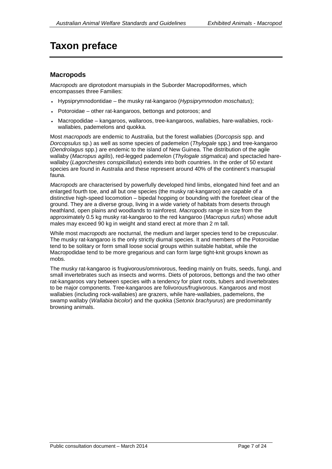# <span id="page-6-0"></span>**Taxon preface**

### **Macropods**

*Macropods* are diprotodont marsupials in the Suborder Macropodiformes, which encompasses three Families:

- Hypsiprymnodontidae the musky rat-kangaroo (*Hypsiprymnodon moschatus*);
- Potoroidae other rat-kangaroos, bettongs and potoroos; and
- Macropodidae kangaroos, wallaroos, tree-kangaroos, wallabies, hare-wallabies, rockwallabies, pademelons and quokka.

Most *macropods* are endemic to Australia, but the forest wallabies (*Dorcopsis* spp. and *Dorcopsulus* sp.) as well as some species of pademelon (*Thylogale* spp.) and tree-kangaroo (*Dendrolagus* spp.) are endemic to the island of New Guinea. The distribution of the agile wallaby (*Macropus agilis*), red-legged pademelon (*Thylogale stigmatica*) and spectacled harewallaby (*Lagorchestes conspicillatus*) extends into both countries. In the order of 50 extant species are found in Australia and these represent around 40% of the continent's marsupial fauna.

*Macropods* are characterised by powerfully developed hind limbs, elongated hind feet and an enlarged fourth toe, and all but one species (the musky rat-kangaroo) are capable of a distinctive high-speed locomotion – bipedal hopping or bounding with the forefeet clear of the ground. They are a diverse group, living in a wide variety of habitats from deserts through heathland, open plains and woodlands to rainforest. *Macropods* range in size from the approximately 0.5 kg musky rat-kangaroo to the red kangaroo (*Macropus rufus*) whose adult males may exceed 90 kg in weight and stand erect at more than 2 m tall.

While most *macropods* are nocturnal, the medium and larger species tend to be crepuscular. The musky rat-kangaroo is the only strictly diurnal species. It and members of the Potoroidae tend to be solitary or form small loose social groups within suitable habitat, while the Macropodidae tend to be more gregarious and can form large tight-knit groups known as mobs.

The musky rat-kangaroo is frugivorous/omnivorous, feeding mainly on fruits, seeds, fungi, and small invertebrates such as insects and worms. Diets of potoroos, bettongs and the two other rat-kangaroos vary between species with a tendency for plant roots, tubers and invertebrates to be major components. Tree-kangaroos are folivorous/frugivorous. Kangaroos and most wallabies (including rock-wallabies) are grazers, while hare-wallabies, pademelons, the swamp wallaby (*Wallabia bicolor*) and the quokka (*Setonix brachyurus*) are predominantly browsing animals.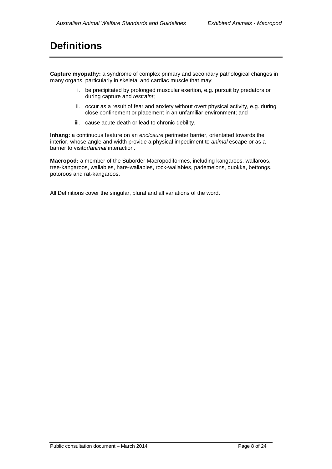# <span id="page-7-0"></span>**Definitions**

**Capture myopathy:** a syndrome of complex primary and secondary pathological changes in many organs, particularly in skeletal and cardiac muscle that may:

- i. be precipitated by prolonged muscular exertion, e.g. pursuit by predators or during capture and *restraint*;
- ii. occur as a result of fear and anxiety without overt physical activity, e.g. during close confinement or placement in an unfamiliar environment; and
- iii. cause acute death or lead to chronic debility.

**Inhang:** a continuous feature on an *enclosure* perimeter barrier, orientated towards the interior, whose angle and width provide a physical impediment to *animal* escape or as a barrier to visitor/*animal* interaction.

**Macropod:** a member of the Suborder Macropodiformes, including kangaroos, wallaroos, tree-kangaroos, wallabies, hare-wallabies, rock-wallabies, pademelons, quokka, bettongs, potoroos and rat-kangaroos.

All Definitions cover the singular, plural and all variations of the word.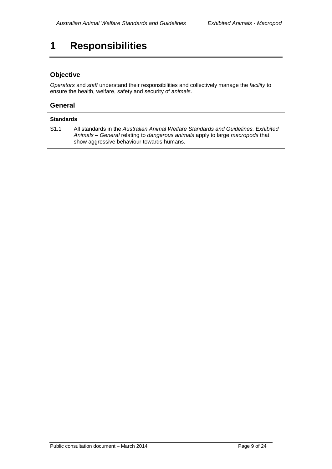# <span id="page-8-0"></span>**1 Responsibilities**

### **Objective**

*Operators* and *staff* understand their responsibilities and collectively manage the *facility* to ensure the health, welfare, safety and security of *animals*.

### **General**

#### **Standards**

S1.1 All standards in the *Australian Animal Welfare Standards and Guidelines. Exhibited Animals – General* relating to *dangerous animals* apply to large *macropods* that show aggressive behaviour towards humans.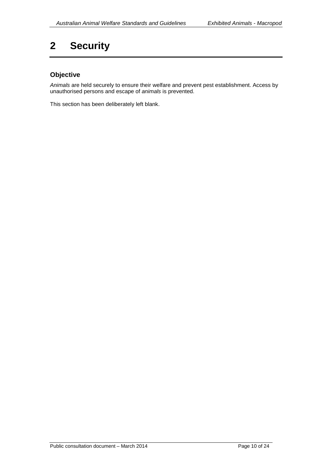# <span id="page-9-0"></span>**2 Security**

# **Objective**

*Animals* are held securely to ensure their welfare and prevent pest establishment. Access by unauthorised persons and escape of *animals* is prevented.

This section has been deliberately left blank.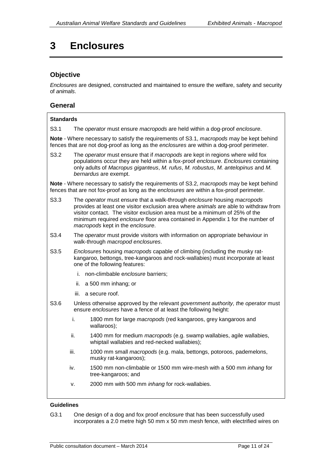# <span id="page-10-0"></span>**3 Enclosures**

### **Objective**

*Enclosures* are designed, constructed and maintained to ensure the welfare, safety and security of *animals*.

#### **General**

#### **Standards**

S3.1 The *operator* must ensure *macropods* are held within a dog-proof *enclosure*.

**Note** - Where necessary to satisfy the requirements of S3.1, *macropods* may be kept behind fences that are not dog-proof as long as the *enclosures* are within a dog-proof perimeter.

S3.2 The *operator* must ensure that if *macropods* are kept in regions where wild fox populations occur they are held within a fox-proof *enclosure*. *Enclosures* containing only adults of *Macropus giganteus*, *M. rufus*, *M. robustus*, *M. antelopinus* and *M. bernardus* are exempt.

**Note** - Where necessary to satisfy the requirements of S3.2, *macropods* may be kept behind fences that are not fox-proof as long as the *enclosures* are within a fox-proof perimeter.

- S3.3 The *operator* must ensure that a walk-through *enclosure* housing *macropods* provides at least one visitor exclusion area where *animals* are able to withdraw from visitor contact. The visitor exclusion area must be a minimum of 25% of the minimum required *enclosure* floor area contained in Appendix 1 for the number of *macropods* kept in the *enclosure*.
- S3.4 The *operator* must provide visitors with information on appropriate behaviour in walk-through *macropod enclosures*.
- S3.5 *Enclosures* housing *macropods* capable of climbing (including the musky ratkangaroo, bettongs, tree-kangaroos and rock-wallabies) must incorporate at least one of the following features:
	- i. non-climbable e*nclosure* barriers;
	- ii. a 500 mm inhang; or
	- iii. a secure roof.
- S3.6 Unless otherwise approved by the relevant *government authority, t*he *operator* must ensure *enclosures* have a fence of at least the following height:
	- i. 1800 mm for large *macropods* (red kangaroos, grey kangaroos and wallaroos);
	- ii. 1400 mm for medium *macropods* (e.g. swamp wallabies, agile wallabies, whiptail wallabies and red-necked wallabies);
	- iii. 1000 mm small *macropods* (e.g. mala, bettongs, potoroos, pademelons, musky rat-kangaroos);
	- iv. 1500 mm non-climbable or 1500 mm wire-mesh with a 500 mm *inhang* for tree-kangaroos; and
	- v. 2000 mm with 500 mm *inhang* for rock-wallabies.

#### **Guidelines**

G3.1 One design of a dog and fox proof *enclosure* that has been successfully used incorporates a 2.0 metre high 50 mm x 50 mm mesh fence, with electrified wires on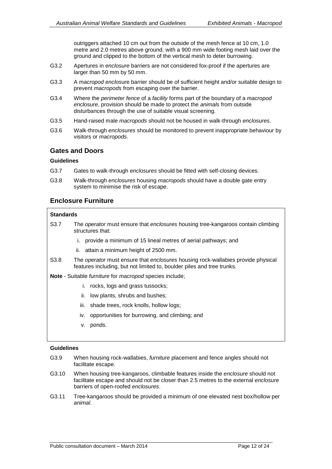outriggers attached 10 cm out from the outside of the mesh fence at 10 cm, 1.0 metre and 2.0 metres above ground, with a 900 mm wide footing mesh laid over the ground and clipped to the bottom of the vertical mesh to deter burrowing.

- G3.2 Apertures in *enclosure* barriers are not considered fox-proof if the apertures are larger than 50 mm by 50 mm.
- G3.3 A *macropod enclos*ure barrier should be of sufficient height and/or suitable design to prevent *macropods* from escaping over the barrier.
- G3.4 Where the *perimeter fence* of a *facility* forms part of the boundary of a *macropod enclosure*, provision should be made to protect the *animals* from outside disturbances through the use of suitable visual screening.
- G3.5 Hand-raised male *macropods* should not be housed in walk-through *enclosures*.
- G3.6 Walk-through *enclosures* should be monitored to prevent inappropriate behaviour by visitors or *macropods*.

#### **Gates and Doors**

#### **Guidelines**

- G3.7 Gates to walk-through *enclosures* should be fitted with self-closing devices.
- G3.8 Walk-through *enclosures* housing *macropods* should have a double gate entry system to minimise the risk of escape.

#### **Enclosure Furniture**

#### **Standards**

S3.7 The *operator* must ensure that *enclosures* housing tree-kangaroos contain climbing structures that:

- i. provide a minimum of 15 lineal metres of aerial pathways; and
- ii. attain a minimum height of 2500 mm.
- S3.8 The *operator* must ensure that *enclosures* housing rock-wallabies provide physical features including, but not limited to, boulder piles and tree trunks.

**Note** - Suitable *furniture* for *macropod* species include;

- i. rocks, logs and grass tussocks;
- ii. low plants, shrubs and bushes;
- iii. shade trees, rock knolls, hollow logs;
- iv. opportunities for burrowing, and climbing; and
- v. ponds.

#### **Guidelines**

- G3.9 When housing rock-wallabies, *furniture* placement and fence angles should not facilitate escape.
- G3.10 When housing tree-kangaroos, climbable features inside the *enclosure* should not facilitate escape and should not be closer than 2.5 metres to the external *enclosure* barriers of open-roofed *enclosures*.
- G3.11 Tree-kangaroos should be provided a minimum of one elevated nest box/hollow per *animal*.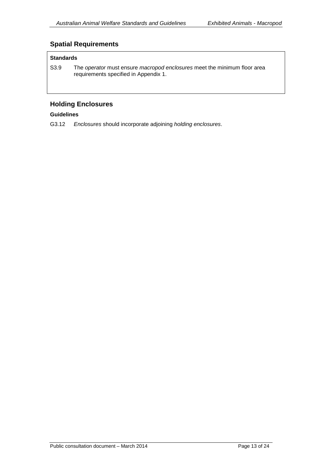# **Spatial Requirements**

### **Standards**

S3.9 The *operator* must ensure *macropod enclosures* meet the minimum floor area requirements specified in Appendix 1.

# **Holding Enclosures**

#### **Guidelines**

G3.12 *Enclosures* should incorporate adjoining *holding enclosures*.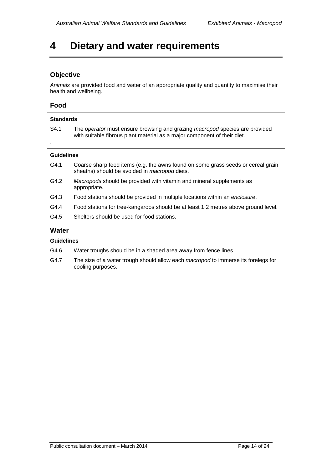# <span id="page-13-0"></span>**4 Dietary and water requirements**

### **Objective**

*Animals* are provided food and water of an appropriate quality and quantity to maximise their health and wellbeing.

#### **Food**

| <b>Standards</b>  |                                                                                                                                                                       |  |  |  |  |
|-------------------|-----------------------------------------------------------------------------------------------------------------------------------------------------------------------|--|--|--|--|
| S4.1              | The <i>operator</i> must ensure browsing and grazing <i>macropod</i> species are provided<br>with suitable fibrous plant material as a major component of their diet. |  |  |  |  |
| <b>Guidelines</b> |                                                                                                                                                                       |  |  |  |  |
| G4.1              | Coarse sharp feed items (e.g. the awns found on some grass seeds or cereal grain<br>sheaths) should be avoided in <i>macropod</i> diets.                              |  |  |  |  |
| G4.2              | <i>Macropods</i> should be provided with vitamin and mineral supplements as<br>appropriate.                                                                           |  |  |  |  |

- G4.3 Food stations should be provided in multiple locations within an *enclosure*.
- G4.4 Food stations for tree-kangaroos should be at least 1.2 metres above ground level.
- G4.5 Shelters should be used for food stations.

#### **Water**

#### **Guidelines**

- G4.6 Water troughs should be in a shaded area away from fence lines.
- G4.7 The size of a water trough should allow each *macropod* to immerse its forelegs for cooling purposes.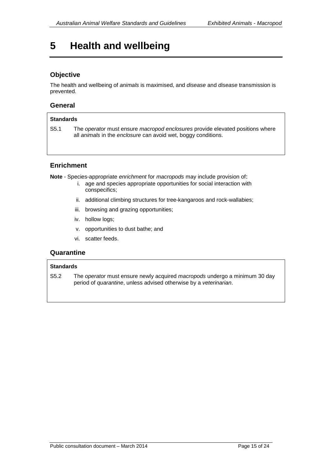# <span id="page-14-0"></span>**5 Health and wellbeing**

# **Objective**

The health and wellbeing of *animals* is maximised, and *disease* and *disease* transmission is prevented.

### **General**

#### **Standards**

S5.1 The *operator* must ensure *macropod enclosures* provide elevated positions where all *animals* in the *enclosure* can avoid wet, boggy conditions.

# **Enrichment**

**Note** - Species-appropriate *enrichment* for *macropods* may include provision of:

- i. age and species appropriate opportunities for social interaction with conspecifics;
- ii. additional climbing structures for tree-kangaroos and rock-wallabies;
- iii. browsing and grazing opportunities;
- iv. hollow logs;
- v. opportunities to dust bathe; and
- vi. scatter feeds.

#### **Quarantine**

#### **Standards**

S5.2 The *operator* must ensure newly acquired *macropods* undergo a minimum 30 day period of *quarantine*, unless advised otherwise by a *veterinarian*.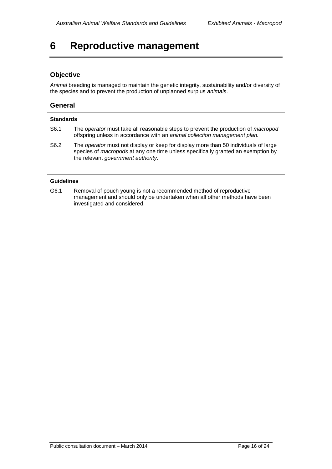# <span id="page-15-0"></span>**6 Reproductive management**

### **Objective**

*Animal* breeding is managed to maintain the genetic integrity, sustainability and/or diversity of the species and to prevent the production of unplanned surplus *animals*.

#### **General**

| S <sub>6.1</sub><br>The operator must take all reasonable steps to prevent the production of <i>macropod</i><br>offspring unless in accordance with an animal collection management plan.<br>S <sub>6.2</sub><br>The <i>operator</i> must not display or keep for display more than 50 individuals of large<br>species of <i>macropods</i> at any one time unless specifically granted an exemption by | <b>Standards</b> |  |  |  |  |  |
|--------------------------------------------------------------------------------------------------------------------------------------------------------------------------------------------------------------------------------------------------------------------------------------------------------------------------------------------------------------------------------------------------------|------------------|--|--|--|--|--|
|                                                                                                                                                                                                                                                                                                                                                                                                        |                  |  |  |  |  |  |
| the relevant government authority.                                                                                                                                                                                                                                                                                                                                                                     |                  |  |  |  |  |  |

### **Guidelines**

G6.1 Removal of pouch young is not a recommended method of reproductive management and should only be undertaken when all other methods have been investigated and considered.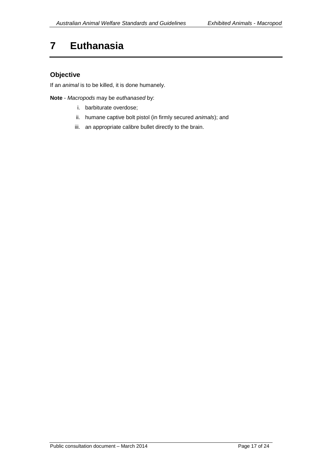# <span id="page-16-0"></span>**7 Euthanasia**

# **Objective**

If an *animal* is to be killed, it is done humanely.

**Note** - *Macropods* may be *euthanased* by:

- i. barbiturate overdose;
- ii. humane captive bolt pistol (in firmly secured *animals*); and
- iii. an appropriate calibre bullet directly to the brain.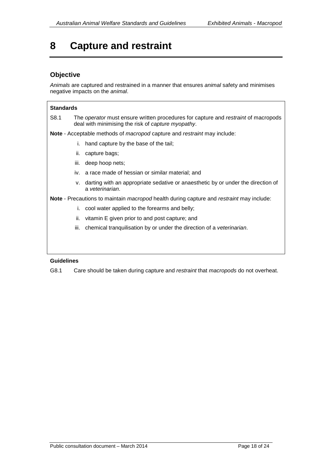# <span id="page-17-0"></span>**8 Capture and restraint**

# **Objective**

*Animals* are captured and restrained in a manner that ensures *animal* safety and minimises negative impacts on the *animal*.

#### **Standards**

S8.1 The *operator* must ensure written procedures for capture and *restraint* of macropods deal with minimising the risk of *capture myopathy*.

**Note** - Acceptable methods of *macropod* capture and *restraint* may include:

- i. hand capture by the base of the tail;
- ii. capture bags;
- iii. deep hoop nets;
- iv. a race made of hessian or similar material; and
- v. darting with an appropriate sedative or anaesthetic by or under the direction of a *veterinarian*.

**Note** - Precautions to maintain *macropod* health during capture and *restraint* may include:

- i. cool water applied to the forearms and belly;
- ii. vitamin E given prior to and post capture; and
- iii. chemical tranquilisation by or under the direction of a *veterinarian*.

#### **Guidelines**

G8.1 Care should be taken during capture and *restraint* that *macropods* do not overheat.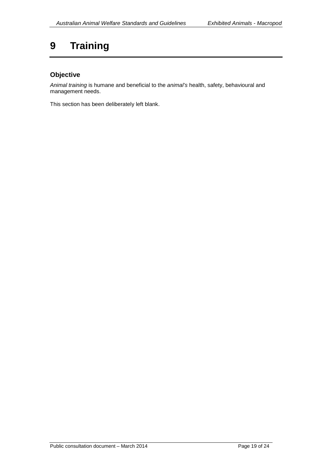# <span id="page-18-0"></span>**9 Training**

# **Objective**

*Animal training* is humane and beneficial to the *animal's* health, safety, behavioural and management needs.

This section has been deliberately left blank.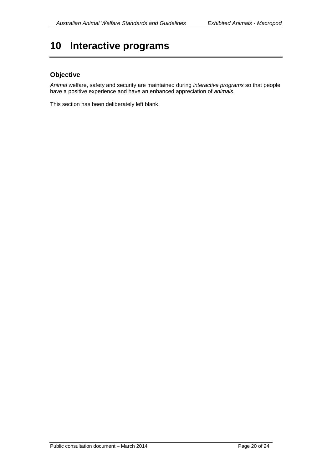# <span id="page-19-0"></span>**10 Interactive programs**

# **Objective**

*Animal* welfare, safety and security are maintained during *interactive programs* so that people have a positive experience and have an enhanced appreciation of *animals*.

This section has been deliberately left blank.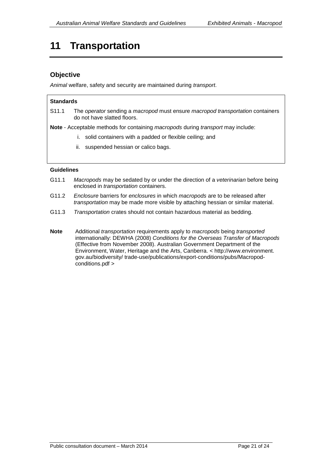# <span id="page-20-0"></span>**11 Transportation**

# **Objective**

*Animal* welfare, safety and security are maintained during *transport*.

#### **Standards**

S11.1 The *operator* sending a *macropod* must ensure *macropod transportation* containers do not have slatted floors.

**Note** - Acceptable methods for containing *macropods* during *transport* may include:

- i. solid containers with a padded or flexible ceiling; and
- ii. suspended hessian or calico bags.

#### **Guidelines**

- G11.1 *Macropods* may be sedated by or under the direction of a *veterinarian* before being enclosed in *transportation* containers.
- G11.2 *Enclosure* barriers for *enclosures* in which *macropods* are to be released after *transportation* may be made more visible by attaching hessian or similar material.
- G11.3 *Transportation* crates should not contain hazardous material as bedding.
- **Note** Additional *transportation* requirements apply to *macropods* being *transported* internationally: DEWHA (2008) *Conditions for the Overseas Transfer of Macropods* (Effective from November 2008). Australian Government Department of the Environment, Water, Heritage and the Arts, Canberra. < http://www.environment. gov.au/biodiversity/ trade-use/publications/export-conditions/pubs/Macropodconditions.pdf >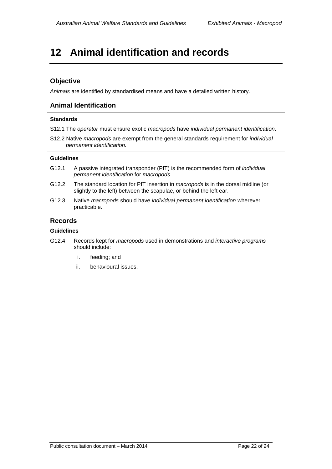# <span id="page-21-0"></span>**12 Animal identification and records**

### **Objective**

*Animals* are identified by standardised means and have a detailed written history.

### **Animal Identification**

#### **Standards**

S12.1 The *operator* must ensure exotic *macropods* have *individual permanent identification*.

S12.2 Native *macropods* are exempt from the general standards requirement for *individual permanent identification.*

#### **Guidelines**

- G12.1 A passive integrated transponder (PIT) is the recommended form of *individual permanent identification* for *macropods*.
- G12.2 The standard location for PIT insertion in *macropods* is in the dorsal midline (or slightly to the left) between the scapulae, or behind the left ear.
- G12.3 Native *macropods* should have *individual permanent identification* wherever practicable.

#### **Records**

#### **Guidelines**

- G12.4 Records kept for *macropods* used in demonstrations and *interactive programs* should include:
	- i. feeding; and
	- ii. behavioural issues.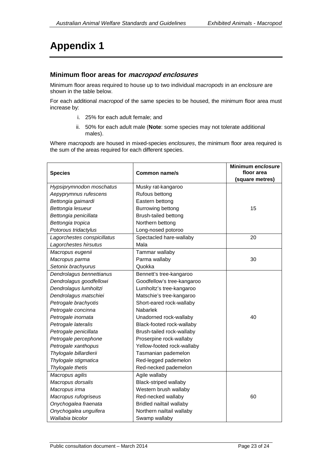# <span id="page-22-0"></span>**Appendix 1**

### **Minimum floor areas for macropod enclosures**

Minimum floor areas required to house up to two individual *macropods* in an *enclosure* are shown in the table below.

For each additional *macropod* of the same species to be housed, the minimum floor area must increase by:

- i. 25% for each adult female; and
- ii. 50% for each adult male (**Note**: some species may not tolerate additional males).

Where *macropods* are housed in mixed-species *enclosures*, the minimum floor area required is the sum of the areas required for each different species.

| <b>Species</b>              | Common name/s                | Minimum enclosure<br>floor area<br>(square metres) |
|-----------------------------|------------------------------|----------------------------------------------------|
| Hypsiprymnodon moschatus    | Musky rat-kangaroo           |                                                    |
| Aepyprymnus rufescens       | Rufous bettong               |                                                    |
| Bettongia gaimardi          | Eastern bettong              |                                                    |
| Bettongia lesueur           | <b>Burrowing bettong</b>     | 15                                                 |
| Bettongia penicillata       | Brush-tailed bettong         |                                                    |
| Bettongia tropica           | Northern bettong             |                                                    |
| Potorous tridactylus        | Long-nosed potoroo           |                                                    |
| Lagorchestes conspicillatus | Spectacled hare-wallaby      | 20                                                 |
| Lagorchestes hirsutus       | Mala                         |                                                    |
| Macropus eugenii            | Tammar wallaby               |                                                    |
| Macropus parma              | Parma wallaby                | 30                                                 |
| Setonix brachyurus          | Quokka                       |                                                    |
| Dendrolagus bennettianus    | Bennett's tree-kangaroo      |                                                    |
| Dendrolagus goodfellowi     | Goodfellow's tree-kangaroo   |                                                    |
| Dendrolagus lumholtzi       | Lumholtz's tree-kangaroo     |                                                    |
| Dendrolagus matschiei       | Matschie's tree-kangaroo     |                                                    |
| Petrogale brachyotis        | Short-eared rock-wallaby     |                                                    |
| Petrogale concinna          | Nabarlek                     |                                                    |
| Petrogale inornata          | Unadorned rock-wallaby       | 40                                                 |
| Petrogale lateralis         | Black-footed rock-wallaby    |                                                    |
| Petrogale penicillata       | Brush-tailed rock-wallaby    |                                                    |
| Petrogale percephone        | Proserpine rock-wallaby      |                                                    |
| Petrogale xanthopus         | Yellow-footed rock-wallaby   |                                                    |
| Thylogale billardierii      | Tasmanian pademelon          |                                                    |
| Thylogale stigmatica        | Red-legged pademelon         |                                                    |
| Thylogale thetis            | Red-necked pademelon         |                                                    |
| Macropus agilis             | Agile wallaby                |                                                    |
| Macropus dorsalis           | <b>Black-striped wallaby</b> |                                                    |
| Macropus irma               | Western brush wallaby        |                                                    |
| Macropus rufogriseus        | Red-necked wallaby           | 60                                                 |
| Onychogalea fraenata        | Bridled nailtail wallaby     |                                                    |
| Onychogalea unguifera       | Northern nailtail wallaby    |                                                    |
| Wallabia bicolor            | Swamp wallaby                |                                                    |